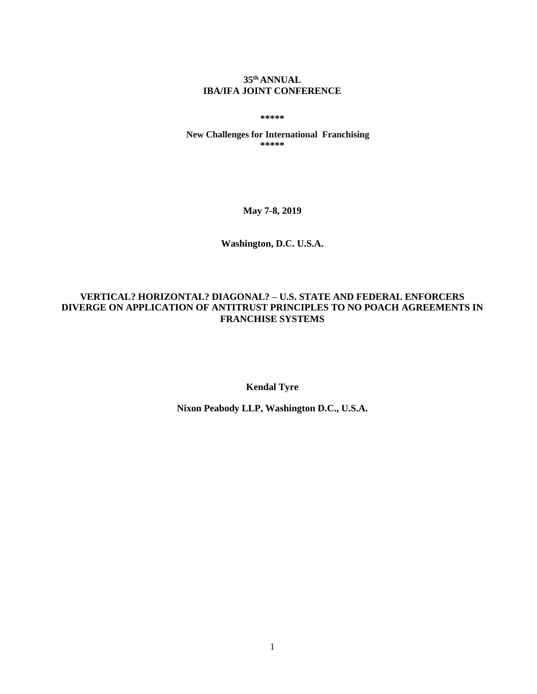## **35 th ANNUAL IBA/IFA JOINT CONFERENCE**

**\*\*\*\*\***

**New Challenges for International Franchising \*\*\*\*\***

**May 7-8, 2019**

**Washington, D.C. U.S.A.**

# **VERTICAL? HORIZONTAL? DIAGONAL? – U.S. STATE AND FEDERAL ENFORCERS DIVERGE ON APPLICATION OF ANTITRUST PRINCIPLES TO NO POACH AGREEMENTS IN FRANCHISE SYSTEMS**

**Kendal Tyre**

**Nixon Peabody LLP, Washington D.C., U.S.A.**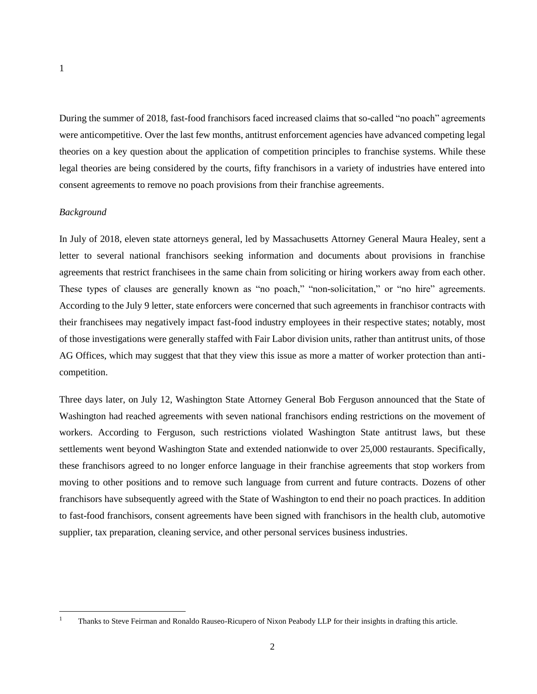1

During the summer of 2018, fast-food franchisors faced increased claims that so-called "no poach" agreements were anticompetitive. Over the last few months, antitrust enforcement agencies have advanced competing legal theories on a key question about the application of competition principles to franchise systems. While these legal theories are being considered by the courts, fifty franchisors in a variety of industries have entered into consent agreements to remove no poach provisions from their franchise agreements.

## *Background*

 $\overline{a}$ 

In July of 2018, eleven state attorneys general, led by Massachusetts Attorney General Maura Healey, sent a letter to several national franchisors seeking information and documents about provisions in franchise agreements that restrict franchisees in the same chain from soliciting or hiring workers away from each other. These types of clauses are generally known as "no poach," "non-solicitation," or "no hire" agreements. According to the July 9 letter, state enforcers were concerned that such agreements in franchisor contracts with their franchisees may negatively impact fast-food industry employees in their respective states; notably, most of those investigations were generally staffed with Fair Labor division units, rather than antitrust units, of those AG Offices, which may suggest that that they view this issue as more a matter of worker protection than anticompetition.

Three days later, on July 12, Washington State Attorney General Bob Ferguson announced that the State of Washington had reached agreements with seven national franchisors ending restrictions on the movement of workers. According to Ferguson, such restrictions violated Washington State antitrust laws, but these settlements went beyond Washington State and extended nationwide to over 25,000 restaurants. Specifically, these franchisors agreed to no longer enforce language in their franchise agreements that stop workers from moving to other positions and to remove such language from current and future contracts. Dozens of other franchisors have subsequently agreed with the State of Washington to end their no poach practices. In addition to fast-food franchisors, consent agreements have been signed with franchisors in the health club, automotive supplier, tax preparation, cleaning service, and other personal services business industries.

<sup>&</sup>lt;sup>1</sup> Thanks to Steve Feirman and Ronaldo Rauseo-Ricupero of Nixon Peabody LLP for their insights in drafting this article.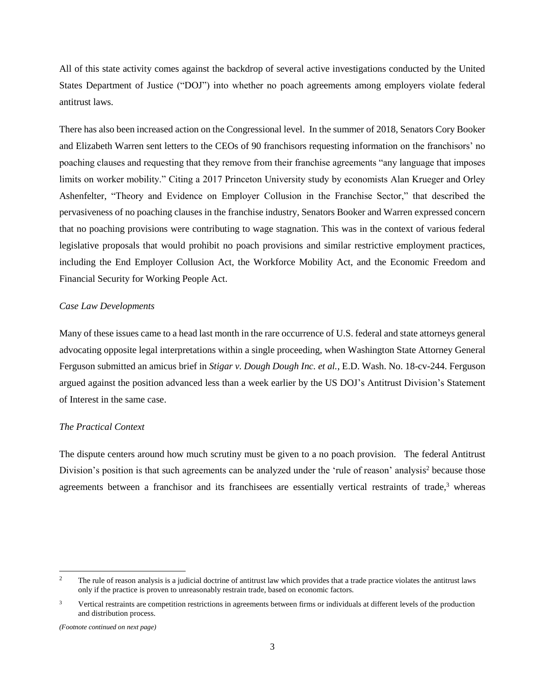All of this state activity comes against the backdrop of several active investigations conducted by the United States Department of Justice ("DOJ") into whether no poach agreements among employers violate federal antitrust laws.

There has also been increased action on the Congressional level. In the summer of 2018, Senators Cory Booker and Elizabeth Warren sent letters to the CEOs of 90 franchisors requesting information on the franchisors' no poaching clauses and requesting that they remove from their franchise agreements "any language that imposes limits on worker mobility." Citing a 2017 Princeton University study by economists Alan Krueger and Orley Ashenfelter, "Theory and Evidence on Employer Collusion in the Franchise Sector," that described the pervasiveness of no poaching clauses in the franchise industry, Senators Booker and Warren expressed concern that no poaching provisions were contributing to wage stagnation. This was in the context of various federal legislative proposals that would prohibit no poach provisions and similar restrictive employment practices, including the End Employer Collusion Act, the Workforce Mobility Act, and the Economic Freedom and Financial Security for Working People Act.

#### *Case Law Developments*

Many of these issues came to a head last month in the rare occurrence of U.S. federal and state attorneys general advocating opposite legal interpretations within a single proceeding, when Washington State Attorney General Ferguson submitted an amicus brief in *Stigar v. Dough Dough Inc. et al.*, E.D. Wash. No. 18-cv-244. Ferguson argued against the position advanced less than a week earlier by the US DOJ's Antitrust Division's Statement of Interest in the same case.

#### *The Practical Context*

The dispute centers around how much scrutiny must be given to a no poach provision. The federal Antitrust Division's position is that such agreements can be analyzed under the 'rule of reason' analysis<sup>2</sup> because those agreements between a franchisor and its franchisees are essentially vertical restraints of trade,<sup>3</sup> whereas

 $\overline{a}$ 

<sup>&</sup>lt;sup>2</sup> The rule of reason analysis is a judicial doctrine of antitrust law which provides that a trade practice violates the antitrust laws only if the practice is proven to unreasonably restrain trade, based on economic factors.

 $3$  Vertical restraints are competition restrictions in agreements between firms or individuals at different levels of the production and distribution process.

*<sup>(</sup>Footnote continued on next page)*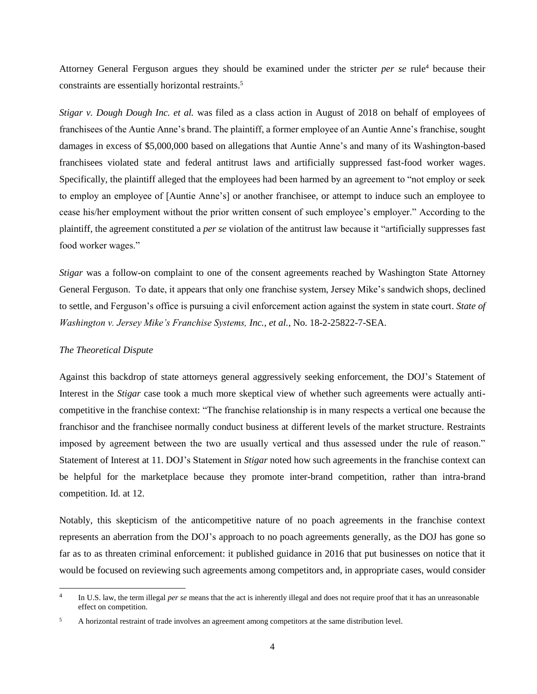Attorney General Ferguson argues they should be examined under the stricter *per se* rule<sup>4</sup> because their constraints are essentially horizontal restraints. 5

*Stigar v. Dough Dough Inc. et al.* was filed as a class action in August of 2018 on behalf of employees of franchisees of the Auntie Anne's brand. The plaintiff, a former employee of an Auntie Anne's franchise, sought damages in excess of \$5,000,000 based on allegations that Auntie Anne's and many of its Washington-based franchisees violated state and federal antitrust laws and artificially suppressed fast-food worker wages. Specifically, the plaintiff alleged that the employees had been harmed by an agreement to "not employ or seek to employ an employee of [Auntie Anne's] or another franchisee, or attempt to induce such an employee to cease his/her employment without the prior written consent of such employee's employer." According to the plaintiff, the agreement constituted a *per se* violation of the antitrust law because it "artificially suppresses fast food worker wages."

*Stigar* was a follow-on complaint to one of the consent agreements reached by Washington State Attorney General Ferguson. To date, it appears that only one franchise system, Jersey Mike's sandwich shops, declined to settle, and Ferguson's office is pursuing a civil enforcement action against the system in state court. *State of Washington v. Jersey Mike's Franchise Systems, Inc., et al.*, No. 18-2-25822-7-SEA.

#### *The Theoretical Dispute*

Against this backdrop of state attorneys general aggressively seeking enforcement, the DOJ's Statement of Interest in the *Stigar* case took a much more skeptical view of whether such agreements were actually anticompetitive in the franchise context: "The franchise relationship is in many respects a vertical one because the franchisor and the franchisee normally conduct business at different levels of the market structure. Restraints imposed by agreement between the two are usually vertical and thus assessed under the rule of reason." Statement of Interest at 11. DOJ's Statement in *Stigar* noted how such agreements in the franchise context can be helpful for the marketplace because they promote inter-brand competition, rather than intra-brand competition. Id. at 12.

Notably, this skepticism of the anticompetitive nature of no poach agreements in the franchise context represents an aberration from the DOJ's approach to no poach agreements generally, as the DOJ has gone so far as to as threaten criminal enforcement: it published guidance in 2016 that put businesses on notice that it would be focused on reviewing such agreements among competitors and, in appropriate cases, would consider

 $\frac{1}{4}$ In U.S. law, the term illegal *per se* means that the act is inherently illegal and does not require proof that it has an unreasonable effect on competition.

<sup>&</sup>lt;sup>5</sup> A horizontal restraint of trade involves an agreement among competitors at the same distribution level.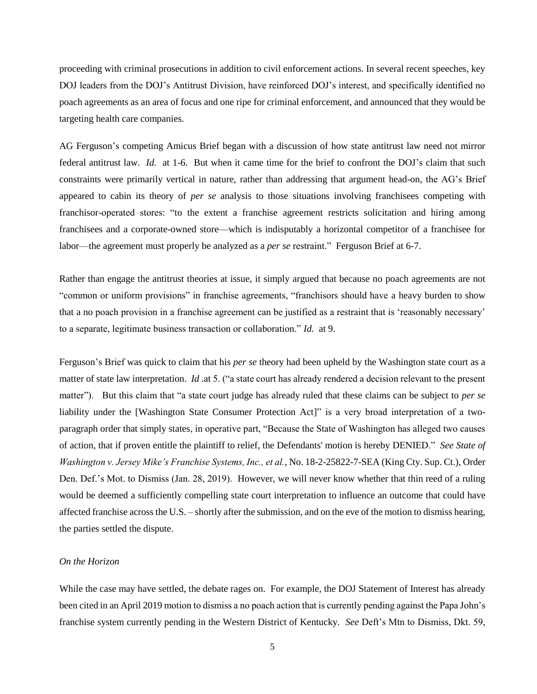proceeding with criminal prosecutions in addition to civil enforcement actions. In several recent speeches, key DOJ leaders from the DOJ's Antitrust Division, have reinforced DOJ's interest, and specifically identified no poach agreements as an area of focus and one ripe for criminal enforcement, and announced that they would be targeting health care companies.

AG Ferguson's competing Amicus Brief began with a discussion of how state antitrust law need not mirror federal antitrust law. *Id.* at 1-6. But when it came time for the brief to confront the DOJ's claim that such constraints were primarily vertical in nature, rather than addressing that argument head-on, the AG's Brief appeared to cabin its theory of *per se* analysis to those situations involving franchisees competing with franchisor-operated stores: "to the extent a franchise agreement restricts solicitation and hiring among franchisees and a corporate-owned store—which is indisputably a horizontal competitor of a franchisee for labor—the agreement must properly be analyzed as a *per se* restraint." Ferguson Brief at 6-7.

Rather than engage the antitrust theories at issue, it simply argued that because no poach agreements are not "common or uniform provisions" in franchise agreements, "franchisors should have a heavy burden to show that a no poach provision in a franchise agreement can be justified as a restraint that is 'reasonably necessary' to a separate, legitimate business transaction or collaboration." *Id.* at 9.

Ferguson's Brief was quick to claim that his *per se* theory had been upheld by the Washington state court as a matter of state law interpretation. *Id* .at 5. ("a state court has already rendered a decision relevant to the present matter"). But this claim that "a state court judge has already ruled that these claims can be subject to *per se* liability under the [Washington State Consumer Protection Act]" is a very broad interpretation of a [two](https://agportal-s3bucket.s3.amazonaws.com/uploadedfiles/Another/News/Press_Releases/2019-1-25%20JM%20MTD%20Denied.pdf)paragraph [order that simply states,](https://agportal-s3bucket.s3.amazonaws.com/uploadedfiles/Another/News/Press_Releases/2019-1-25%20JM%20MTD%20Denied.pdf) in operative part, "Because the State of Washington has alleged two causes of action, that if proven entitle the plaintiff to relief, the Defendants' motion is hereby DENIED." *See State of Washington v. Jersey Mike's Franchise Systems, Inc., et al.*, No. 18-2-25822-7-SEA (King Cty. Sup. Ct.), Order Den. Def.'s Mot. to Dismiss (Jan. 28, 2019). However, we will never know whether that thin reed of a ruling would be deemed a sufficiently compelling state court interpretation to influence an outcome that could have affected franchise across the U.S. – shortly after the submission, and on the eve of the motion to dismiss hearing, the parties settled the dispute.

## *On the Horizon*

While the case may have settled, the debate rages on. For example, the DOJ Statement of Interest has already been cited in an April 2019 motion to dismiss a no poach action that is currently pending against the Papa John's franchise system currently pending in the Western District of Kentucky. *See* Deft's Mtn to Dismiss, Dkt. 59,